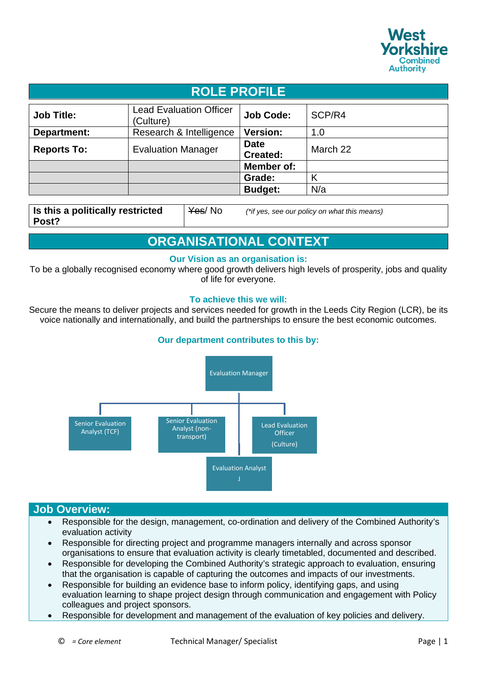

| <b>ROLE PROFILE</b> |                                             |                         |          |
|---------------------|---------------------------------------------|-------------------------|----------|
| <b>Job Title:</b>   | <b>Lead Evaluation Officer</b><br>(Culture) | <b>Job Code:</b>        | SCP/R4   |
| Department:         | Research & Intelligence                     | <b>Version:</b>         | 1.0      |
| <b>Reports To:</b>  | <b>Evaluation Manager</b>                   | <b>Date</b><br>Created: | March 22 |
|                     |                                             | Member of:              |          |
|                     |                                             | Grade:                  | Κ        |
|                     |                                             | <b>Budget:</b>          | N/a      |

**Is this a politically restricted Post?**

Yes/ No *(\*if yes, see our policy on what this means)*

# **ORGANISATIONAL CONTEXT**

### **Our Vision as an organisation is:**

To be a globally recognised economy where good growth delivers high levels of prosperity, jobs and quality of life for everyone.

### **To achieve this we will:**

Secure the means to deliver projects and services needed for growth in the Leeds City Region (LCR), be its voice nationally and internationally, and build the partnerships to ensure the best economic outcomes.

## **Our department contributes to this by:**



## **Job Overview:**

- Responsible for the design, management, co-ordination and delivery of the Combined Authority's evaluation activity
- Responsible for directing project and programme managers internally and across sponsor organisations to ensure that evaluation activity is clearly timetabled, documented and described.
- Responsible for developing the Combined Authority's strategic approach to evaluation, ensuring that the organisation is capable of capturing the outcomes and impacts of our investments.
- Responsible for building an evidence base to inform policy, identifying gaps, and using evaluation learning to shape project design through communication and engagement with Policy colleagues and project sponsors.
- Responsible for development and management of the evaluation of key policies and delivery.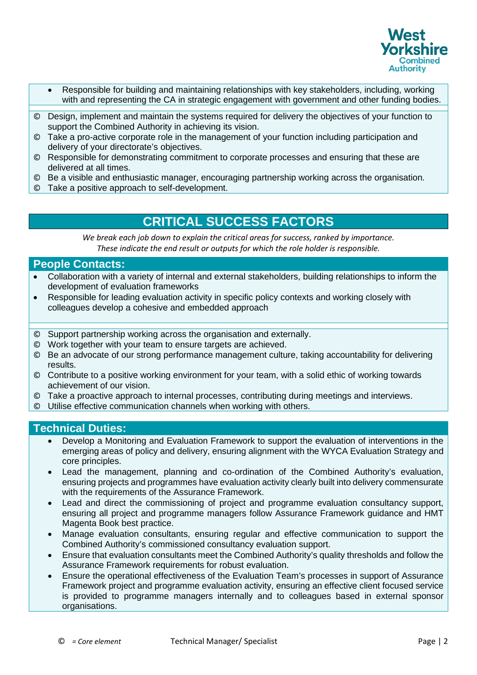

- Responsible for building and maintaining relationships with key stakeholders, including, working with and representing the CA in strategic engagement with government and other funding bodies.
- © Design, implement and maintain the systems required for delivery the objectives of your function to support the Combined Authority in achieving its vision.
- © Take a pro-active corporate role in the management of your function including participation and delivery of your directorate's objectives.
- © Responsible for demonstrating commitment to corporate processes and ensuring that these are delivered at all times.
- © Be a visible and enthusiastic manager, encouraging partnership working across the organisation.
- © Take a positive approach to self-development.

## **CRITICAL SUCCESS FACTORS**

*We break each job down to explain the critical areas for success, ranked by importance. These indicate the end result or outputs for which the role holder is responsible.*

### **People Contacts:**

- Collaboration with a variety of internal and external stakeholders, building relationships to inform the development of evaluation frameworks
- Responsible for leading evaluation activity in specific policy contexts and working closely with colleagues develop a cohesive and embedded approach
- © Support partnership working across the organisation and externally.
- © Work together with your team to ensure targets are achieved.
- © Be an advocate of our strong performance management culture, taking accountability for delivering results.
- © Contribute to a positive working environment for your team, with a solid ethic of working towards achievement of our vision.
- © Take a proactive approach to internal processes, contributing during meetings and interviews.
- © Utilise effective communication channels when working with others.

## **Technical Duties:**

- Develop a Monitoring and Evaluation Framework to support the evaluation of interventions in the emerging areas of policy and delivery, ensuring alignment with the WYCA Evaluation Strategy and core principles.
- Lead the management, planning and co-ordination of the Combined Authority's evaluation, ensuring projects and programmes have evaluation activity clearly built into delivery commensurate with the requirements of the Assurance Framework.
- Lead and direct the commissioning of project and programme evaluation consultancy support, ensuring all project and programme managers follow Assurance Framework guidance and HMT Magenta Book best practice.
- Manage evaluation consultants, ensuring regular and effective communication to support the Combined Authority's commissioned consultancy evaluation support.
- Ensure that evaluation consultants meet the Combined Authority's quality thresholds and follow the Assurance Framework requirements for robust evaluation.
- Ensure the operational effectiveness of the Evaluation Team's processes in support of Assurance Framework project and programme evaluation activity, ensuring an effective client focused service is provided to programme managers internally and to colleagues based in external sponsor organisations.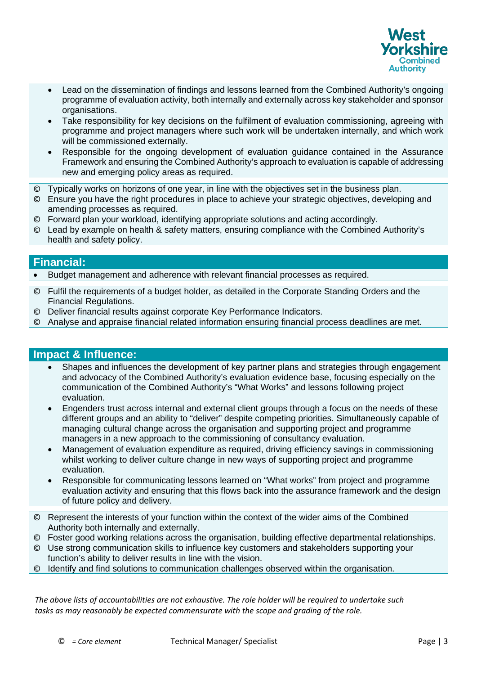

- Lead on the dissemination of findings and lessons learned from the Combined Authority's ongoing programme of evaluation activity, both internally and externally across key stakeholder and sponsor organisations.
- Take responsibility for key decisions on the fulfilment of evaluation commissioning, agreeing with programme and project managers where such work will be undertaken internally, and which work will be commissioned externally.
- Responsible for the ongoing development of evaluation guidance contained in the Assurance Framework and ensuring the Combined Authority's approach to evaluation is capable of addressing new and emerging policy areas as required.
- © Typically works on horizons of one year, in line with the objectives set in the business plan.
- © Ensure you have the right procedures in place to achieve your strategic objectives, developing and amending processes as required.
- © Forward plan your workload, identifying appropriate solutions and acting accordingly.
- © Lead by example on health & safety matters, ensuring compliance with the Combined Authority's health and safety policy.

## **Financial:**

• Budget management and adherence with relevant financial processes as required.

- © Fulfil the requirements of a budget holder, as detailed in the Corporate Standing Orders and the Financial Regulations.
- © Deliver financial results against corporate Key Performance Indicators.
- © Analyse and appraise financial related information ensuring financial process deadlines are met.

## **Impact & Influence:**

- Shapes and influences the development of key partner plans and strategies through engagement and advocacy of the Combined Authority's evaluation evidence base, focusing especially on the communication of the Combined Authority's "What Works" and lessons following project evaluation.
- Engenders trust across internal and external client groups through a focus on the needs of these different groups and an ability to "deliver" despite competing priorities. Simultaneously capable of managing cultural change across the organisation and supporting project and programme managers in a new approach to the commissioning of consultancy evaluation.
- Management of evaluation expenditure as required, driving efficiency savings in commissioning whilst working to deliver culture change in new ways of supporting project and programme evaluation.
- Responsible for communicating lessons learned on "What works" from project and programme evaluation activity and ensuring that this flows back into the assurance framework and the design of future policy and delivery.
- © Represent the interests of your function within the context of the wider aims of the Combined Authority both internally and externally.
- © Foster good working relations across the organisation, building effective departmental relationships.
- © Use strong communication skills to influence key customers and stakeholders supporting your function's ability to deliver results in line with the vision.
- © Identify and find solutions to communication challenges observed within the organisation.

*The above lists of accountabilities are not exhaustive. The role holder will be required to undertake such tasks as may reasonably be expected commensurate with the scope and grading of the role.*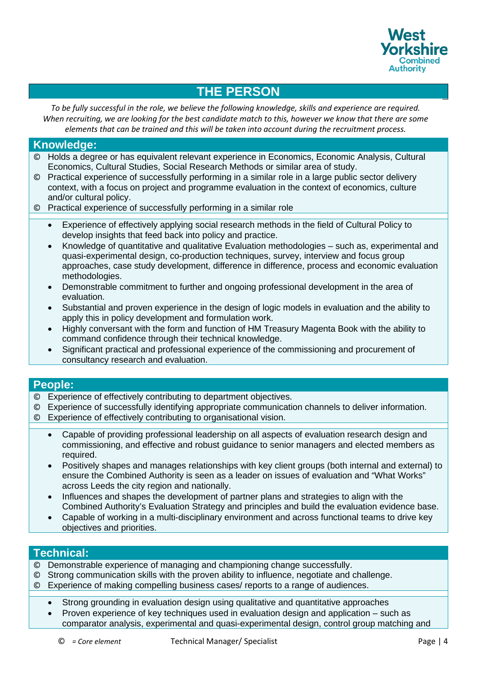

# **THE PERSON**

*To be fully successful in the role, we believe the following knowledge, skills and experience are required. When recruiting, we are looking for the best candidate match to this, however we know that there are some elements that can be trained and this will be taken into account during the recruitment process.*

## **Knowledge:**

- © Holds a degree or has equivalent relevant experience in Economics, Economic Analysis, Cultural Economics, Cultural Studies, Social Research Methods or similar area of study.
- © Practical experience of successfully performing in a similar role in a large public sector delivery context, with a focus on project and programme evaluation in the context of economics, culture and/or cultural policy.
- © Practical experience of successfully performing in a similar role
	- Experience of effectively applying social research methods in the field of Cultural Policy to develop insights that feed back into policy and practice.
	- Knowledge of quantitative and qualitative Evaluation methodologies such as, experimental and quasi-experimental design, co-production techniques, survey, interview and focus group approaches, case study development, difference in difference, process and economic evaluation methodologies.
	- Demonstrable commitment to further and ongoing professional development in the area of evaluation.
	- Substantial and proven experience in the design of logic models in evaluation and the ability to apply this in policy development and formulation work.
	- Highly conversant with the form and function of HM Treasury Magenta Book with the ability to command confidence through their technical knowledge.
	- Significant practical and professional experience of the commissioning and procurement of consultancy research and evaluation.

### **People:**

- © Experience of effectively contributing to department objectives.
- © Experience of successfully identifying appropriate communication channels to deliver information.
- © Experience of effectively contributing to organisational vision.
	- Capable of providing professional leadership on all aspects of evaluation research design and commissioning, and effective and robust guidance to senior managers and elected members as required.
	- Positively shapes and manages relationships with key client groups (both internal and external) to ensure the Combined Authority is seen as a leader on issues of evaluation and "What Works" across Leeds the city region and nationally.
	- Influences and shapes the development of partner plans and strategies to align with the Combined Authority's Evaluation Strategy and principles and build the evaluation evidence base.
	- Capable of working in a multi-disciplinary environment and across functional teams to drive key objectives and priorities.

### **Technical:**

- © Demonstrable experience of managing and championing change successfully.
- © Strong communication skills with the proven ability to influence, negotiate and challenge.
- © Experience of making compelling business cases/ reports to a range of audiences.
	- Strong grounding in evaluation design using qualitative and quantitative approaches
	- Proven experience of key techniques used in evaluation design and application such as
	- comparator analysis, experimental and quasi-experimental design, control group matching and